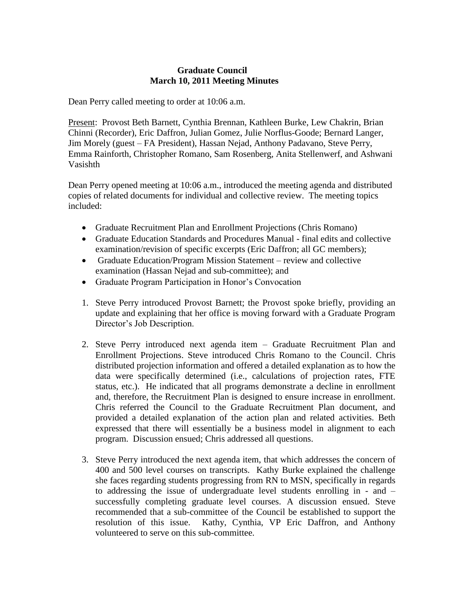## **Graduate Council March 10, 2011 Meeting Minutes**

Dean Perry called meeting to order at 10:06 a.m.

Present: Provost Beth Barnett, Cynthia Brennan, Kathleen Burke, Lew Chakrin, Brian Chinni (Recorder), Eric Daffron, Julian Gomez, Julie Norflus-Goode; Bernard Langer, Jim Morely (guest – FA President), Hassan Nejad, Anthony Padavano, Steve Perry, Emma Rainforth, Christopher Romano, Sam Rosenberg, Anita Stellenwerf, and Ashwani Vasishth

Dean Perry opened meeting at 10:06 a.m., introduced the meeting agenda and distributed copies of related documents for individual and collective review. The meeting topics included:

- Graduate Recruitment Plan and Enrollment Projections (Chris Romano)
- Graduate Education Standards and Procedures Manual final edits and collective examination/revision of specific excerpts (Eric Daffron; all GC members);
- Graduate Education/Program Mission Statement review and collective examination (Hassan Nejad and sub-committee); and
- Graduate Program Participation in Honor's Convocation
- 1. Steve Perry introduced Provost Barnett; the Provost spoke briefly, providing an update and explaining that her office is moving forward with a Graduate Program Director's Job Description.
- 2. Steve Perry introduced next agenda item Graduate Recruitment Plan and Enrollment Projections. Steve introduced Chris Romano to the Council. Chris distributed projection information and offered a detailed explanation as to how the data were specifically determined (i.e., calculations of projection rates, FTE status, etc.). He indicated that all programs demonstrate a decline in enrollment and, therefore, the Recruitment Plan is designed to ensure increase in enrollment. Chris referred the Council to the Graduate Recruitment Plan document, and provided a detailed explanation of the action plan and related activities. Beth expressed that there will essentially be a business model in alignment to each program. Discussion ensued; Chris addressed all questions.
- 3. Steve Perry introduced the next agenda item, that which addresses the concern of 400 and 500 level courses on transcripts. Kathy Burke explained the challenge she faces regarding students progressing from RN to MSN, specifically in regards to addressing the issue of undergraduate level students enrolling in - and – successfully completing graduate level courses. A discussion ensued. Steve recommended that a sub-committee of the Council be established to support the resolution of this issue. Kathy, Cynthia, VP Eric Daffron, and Anthony volunteered to serve on this sub-committee.